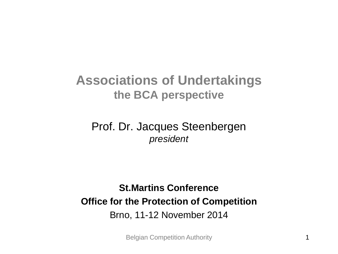### **Associations of Undertakings the BCA perspective**

#### Prof. Dr. Jacques Steenbergen *president*

#### **St.Martins Conference Office for the Protection of Competition** Brno, 11-12 November 2014

Belgian Competition Authority 1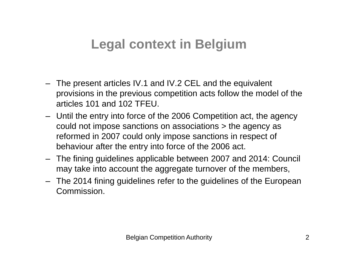## **Legal context in Belgium**

- The present articles IV.1 and IV.2 CEL and the equivalent provisions in the previous competition acts follow the model of the articles 101 and 102 TFEU.
- Until the entry into force of the 2006 Competition act, the agency could not impose sanctions on associations > the agency as reformed in 2007 could only impose sanctions in respect of behaviour after the entry into force of the 2006 act.
- The fining guidelines applicable between 2007 and 2014: Council may take into account the aggregate turnover of the members,
- The 2014 fining guidelines refer to the guidelines of the European Commission.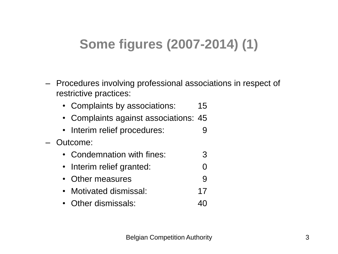# **Some figures (2007-2014) (1)**

- Procedures involving professional associations in respect of restrictive practices:
	- Complaints by associations: 15
	- Complaints against associations: 45
	- Interim relief procedures: 9
- Outcome:
	- Condemnation with fines: 3
	- Interim relief granted: 0
	- Other measures 9
	- Motivated dismissal: 17
	- Other dismissals: 40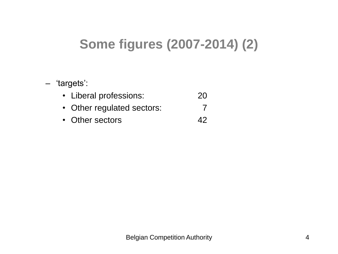# **Some figures (2007-2014) (2)**

#### – 'targets':

| • Liberal professions:     | <b>20</b> |
|----------------------------|-----------|
| • Other regulated sectors: |           |
| • Other sectors            | 42        |